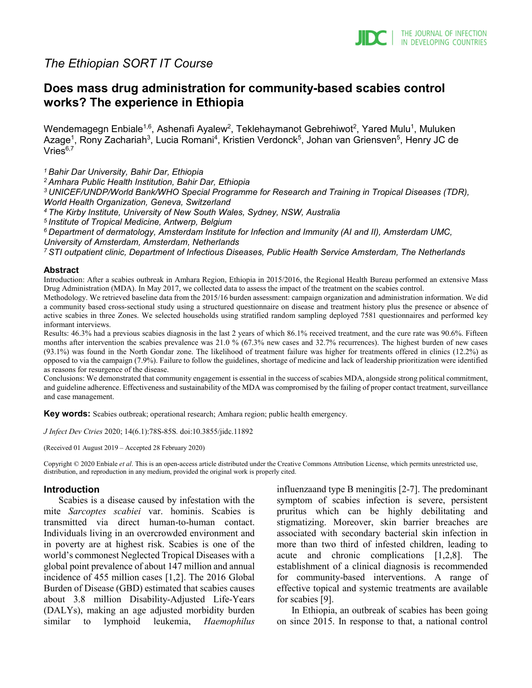

# *The Ethiopian SORT IT Course*

# **Does mass drug administration for community-based scabies control works? The experience in Ethiopia**

Wendemagegn Enbiale $^{\text{1,6}}$ , Ashenafi Ayalew $^{\text{2}}$ , Teklehaymanot Gebrehiwot $^{\text{2}}$ , Yared Mulu $^{\text{1}}$ , Muluken Azage<sup>1</sup>, Rony Zachariah<sup>3</sup>, Lucia Romani<sup>4</sup>, Kristien Verdonck<sup>5</sup>, Johan van Griensven<sup>5</sup>, Henry JC de  $V$ ries $6,7$ 

*1 Bahir Dar University, Bahir Dar, Ethiopia*

*2 Amhara Public Health Institution, Bahir Dar, Ethiopia*

*3 UNICEF/UNDP/World Bank/WHO Special Programme for Research and Training in Tropical Diseases (TDR), World Health Organization, Geneva, Switzerland*

*4 The Kirby Institute, University of New South Wales, Sydney, NSW, Australia*

*5 Institute of Tropical Medicine, Antwerp, Belgium*

*6 Department of dermatology, Amsterdam Institute for Infection and Immunity (AI and II), Amsterdam UMC,* 

*University of Amsterdam, Amsterdam, Netherlands*

*7 STI outpatient clinic, Department of Infectious Diseases, Public Health Service Amsterdam, The Netherlands*

#### **Abstract**

Introduction: After a scabies outbreak in Amhara Region, Ethiopia in 2015/2016, the Regional Health Bureau performed an extensive Mass Drug Administration (MDA). In May 2017, we collected data to assess the impact of the treatment on the scabies control.

Methodology. We retrieved baseline data from the 2015/16 burden assessment: campaign organization and administration information. We did a community based cross-sectional study using a structured questionnaire on disease and treatment history plus the presence or absence of active scabies in three Zones. We selected households using stratified random sampling deployed 7581 questionnaires and performed key informant interviews.

Results: 46.3% had a previous scabies diagnosis in the last 2 years of which 86.1% received treatment, and the cure rate was 90.6%. Fifteen months after intervention the scabies prevalence was 21.0 % (67.3% new cases and 32.7% recurrences). The highest burden of new cases (93.1%) was found in the North Gondar zone. The likelihood of treatment failure was higher for treatments offered in clinics (12.2%) as opposed to via the campaign (7.9%). Failure to follow the guidelines, shortage of medicine and lack of leadership prioritization were identified as reasons for resurgence of the disease.

Conclusions: We demonstrated that community engagement is essential in the success of scabies MDA, alongside strong political commitment, and guideline adherence. Effectiveness and sustainability of the MDA was compromised by the failing of proper contact treatment, surveillance and case management.

**Key words:** Scabies outbreak; operational research; Amhara region; public health emergency.

*J Infect Dev Ctries* 2020; 14(6.1):78S-85S*.* doi:10.3855/jidc.11892

(Received 01 August 2019 – Accepted 28 February 2020)

Copyright © 2020 Enbiale *et al*. This is an open-access article distributed under the Creative Commons Attribution License, which permits unrestricted use, distribution, and reproduction in any medium, provided the original work is properly cited.

#### **Introduction**

Scabies is a disease caused by infestation with the mite *Sarcoptes scabiei* var. hominis. Scabies is transmitted via direct human-to-human contact. Individuals living in an overcrowded environment and in poverty are at highest risk. Scabies is one of the world's commonest Neglected Tropical Diseases with a global point prevalence of about 147 million and annual incidence of 455 million cases [1,2]. The 2016 Global Burden of Disease (GBD) estimated that scabies causes about 3.8 million Disability-Adjusted Life-Years (DALYs), making an age adjusted morbidity burden similar to lymphoid leukemia, *Haemophilus*  influenzaand type B meningitis [2-7]. The predominant symptom of scabies infection is severe, persistent pruritus which can be highly debilitating and stigmatizing. Moreover, skin barrier breaches are associated with secondary bacterial skin infection in more than two third of infested children, leading to acute and chronic complications [1,2,8]. The establishment of a clinical diagnosis is recommended for community-based interventions. A range of effective topical and systemic treatments are available for scabies [9].

In Ethiopia, an outbreak of scabies has been going on since 2015. In response to that, a national control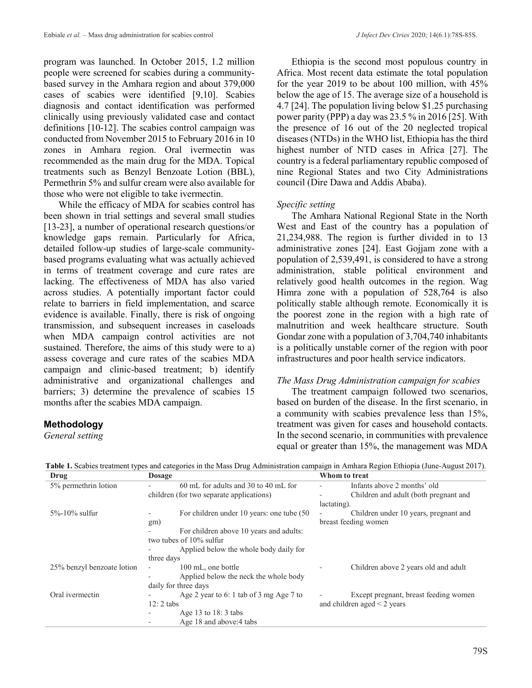program was launched. In October 2015, 1.2 million people were screened for scabies during a communitybased survey in the Amhara region and about 379,000 cases of scabies were identified [9,10]. Scabies diagnosis and contact identification was performed clinically using previously validated case and contact definitions [10-12]. The scabies control campaign was conducted from November 2015 to February 2016 in 10 zones in Amhara region. Oral ivermectin was recommended as the main drug for the MDA. Topical treatments such as Benzyl Benzoate Lotion (BBL), Permethrin 5% and sulfur cream were also available for those who were not eligible to take ivermectin.

While the efficacy of MDA for scabies control has been shown in trial settings and several small studies [13-23], a number of operational research questions/or knowledge gaps remain. Particularly for Africa, detailed follow-up studies of large-scale communitybased programs evaluating what was actually achieved in terms of treatment coverage and cure rates are lacking. The effectiveness of MDA has also varied across studies. A potentially important factor could relate to barriers in field implementation, and scarce evidence is available. Finally, there is risk of ongoing transmission, and subsequent increases in caseloads when MDA campaign control activities are not sustained. Therefore, the aims of this study were to a) assess coverage and cure rates of the scabies MDA campaign and clinic-based treatment; b) identify administrative and organizational challenges and barriers; 3) determine the prevalence of scabies 15 months after the scabies MDA campaign.

# **Methodology**

*General setting*

Ethiopia is the second most populous country in Africa. Most recent data estimate the total population for the year 2019 to be about 100 million, with 45% below the age of 15. The average size of a household is 4.7 [24]. The population living below \$1.25 purchasing power parity (PPP) a day was 23.5 % in 2016 [25]. With the presence of 16 out of the 20 neglected tropical diseases (NTDs) in the WHO list, Ethiopia has the third highest number of NTD cases in Africa [27]. The country is a federal parliamentary republic composed of nine Regional States and two City Administrations council (Dire Dawa and Addis Ababa).

# *Specific setting*

The Amhara National Regional State in the North West and East of the country has a population of 21,234,988. The region is further divided in to 13 administrative zones [24]. East Gojjam zone with a population of 2,539,491, is considered to have a strong administration, stable political environment and relatively good health outcomes in the region. Wag Himra zone with a population of 528,764 is also politically stable although remote. Economically it is the poorest zone in the region with a high rate of malnutrition and week healthcare structure. South Gondar zone with a population of 3,704,740 inhabitants is a politically unstable corner of the region with poor infrastructures and poor health service indicators.

# *The Mass Drug Administration campaign for scabies*

The treatment campaign followed two scenarios, based on burden of the disease. In the first scenario, in a community with scabies prevalence less than 15%, treatment was given for cases and household contacts. In the second scenario, in communities with prevalence equal or greater than 15%, the management was MDA

| Drug                       | <b>Dosage</b>                                  | Whom to treat                              |
|----------------------------|------------------------------------------------|--------------------------------------------|
| 5% permethrin lotion       | 60 mL for adults and 30 to 40 mL for           | Infants above 2 months' old                |
|                            | children (for two separate applications)       | Children and adult (both pregnant and<br>۰ |
|                            |                                                | lactating).                                |
| 5%-10% sulfur              | For children under 10 years: one tube (50      | Children under 10 years, pregnant and      |
|                            | gm)                                            | breast feeding women                       |
|                            | For children above 10 years and adults:        |                                            |
|                            | two tubes of $10\%$ sulfur                     |                                            |
|                            | Applied below the whole body daily for         |                                            |
|                            | three days                                     |                                            |
| 25% benzyl benzoate lotion | 100 mL, one bottle<br>$\overline{\phantom{a}}$ | Children above 2 years old and adult       |
|                            | Applied below the neck the whole body          |                                            |
|                            | daily for three days                           |                                            |
| Oral ivermectin            | Age 2 year to 6: 1 tab of 3 mg Age 7 to        | Except pregnant, breast feeding women      |
|                            | $12:2$ tabs                                    | and children aged $\leq$ 2 years           |
|                            | Age 13 to $18:3$ tabs                          |                                            |
|                            | Age 18 and above: 4 tabs                       |                                            |

**Table 1.** Scabies treatment types and categories in the Mass Drug Administration campaign in Amhara Region Ethiopia (June-August 2017).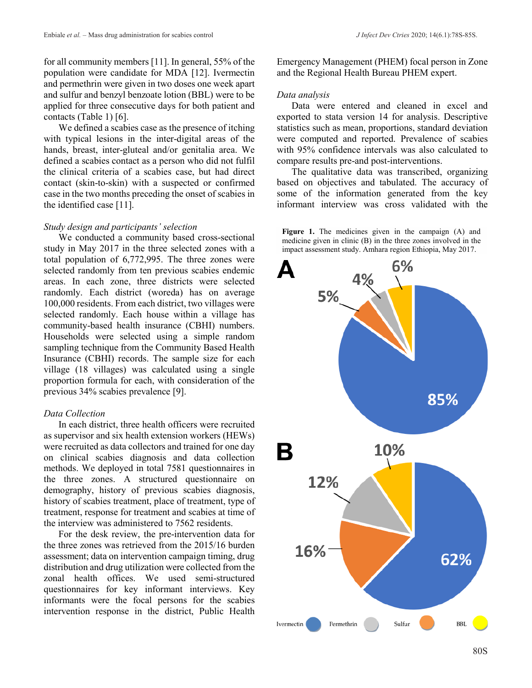for all community members [11]. In general, 55% of the population were candidate for MDA [12]. Ivermectin and permethrin were given in two doses one week apart and sulfur and benzyl benzoate lotion (BBL) were to be applied for three consecutive days for both patient and contacts (Table 1) [6].

We defined a scabies case as the presence of itching with typical lesions in the inter-digital areas of the hands, breast, inter-gluteal and/or genitalia area. We defined a scabies contact as a person who did not fulfil the clinical criteria of a scabies case, but had direct contact (skin-to-skin) with a suspected or confirmed case in the two months preceding the onset of scabies in the identified case [11].

#### *Study design and participants' selection*

We conducted a community based cross-sectional study in May 2017 in the three selected zones with a total population of 6,772,995. The three zones were selected randomly from ten previous scabies endemic areas. In each zone, three districts were selected randomly. Each district (woreda) has on average 100,000 residents. From each district, two villages were selected randomly. Each house within a village has community-based health insurance (CBHI) numbers. Households were selected using a simple random sampling technique from the Community Based Health Insurance (CBHI) records. The sample size for each village (18 villages) was calculated using a single proportion formula for each, with consideration of the previous 34% scabies prevalence [9].

#### *Data Collection*

In each district, three health officers were recruited as supervisor and six health extension workers (HEWs) were recruited as data collectors and trained for one day on clinical scabies diagnosis and data collection methods. We deployed in total 7581 questionnaires in the three zones. A structured questionnaire on demography, history of previous scabies diagnosis, history of scabies treatment, place of treatment, type of treatment, response for treatment and scabies at time of the interview was administered to 7562 residents.

For the desk review, the pre-intervention data for the three zones was retrieved from the 2015/16 burden assessment; data on intervention campaign timing, drug distribution and drug utilization were collected from the zonal health offices. We used semi-structured questionnaires for key informant interviews. Key informants were the focal persons for the scabies intervention response in the district, Public Health Emergency Management (PHEM) focal person in Zone and the Regional Health Bureau PHEM expert.

#### *Data analysis*

Data were entered and cleaned in excel and exported to stata version 14 for analysis. Descriptive statistics such as mean, proportions, standard deviation were computed and reported. Prevalence of scabies with 95% confidence intervals was also calculated to compare results pre-and post-interventions.

The qualitative data was transcribed, organizing based on objectives and tabulated. The accuracy of some of the information generated from the key informant interview was cross validated with the



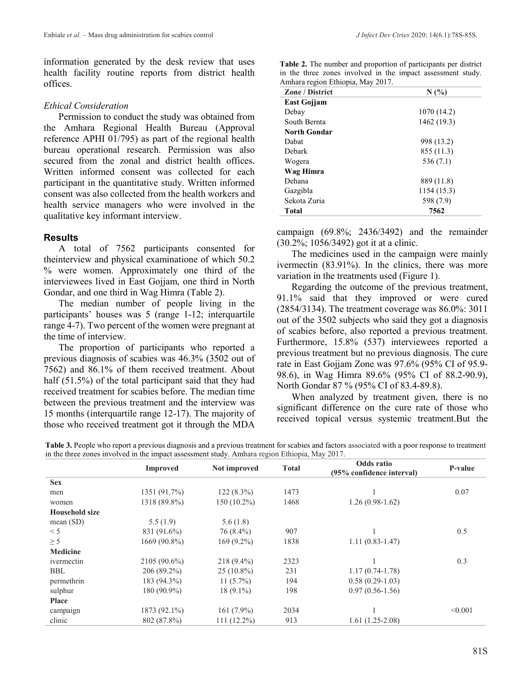information generated by the desk review that uses health facility routine reports from district health offices.

#### *Ethical Consideration*

Permission to conduct the study was obtained from the Amhara Regional Health Bureau (Approval reference APHI 01/795) as part of the regional health bureau operational research. Permission was also secured from the zonal and district health offices. Written informed consent was collected for each participant in the quantitative study. Written informed consent was also collected from the health workers and health service managers who were involved in the qualitative key informant interview.

### **Results**

A total of 7562 participants consented for theinterview and physical examinatione of which 50.2 % were women. Approximately one third of the interviewees lived in East Gojjam, one third in North Gondar, and one third in Wag Himra (Table 2).

The median number of people living in the participants' houses was 5 (range 1-12; interquartile range 4-7). Two percent of the women were pregnant at the time of interview.

The proportion of participants who reported a previous diagnosis of scabies was 46.3% (3502 out of 7562) and 86.1% of them received treatment. About half (51.5%) of the total participant said that they had received treatment for scabies before. The median time between the previous treatment and the interview was 15 months (interquartile range 12-17). The majority of those who received treatment got it through the MDA

**Table 2.** The number and proportion of participants per district in the three zones involved in the impact assessment study. Amhara region Ethiopia, May 2017.

| <b>Zone / District</b> | N(%         |
|------------------------|-------------|
| <b>East Gojjam</b>     |             |
| Debay                  | 1070 (14.2) |
| South Bernta           | 1462 (19.3) |
| <b>North Gondar</b>    |             |
| Dabat                  | 998 (13.2)  |
| Debark                 | 855 (11.3)  |
| Wogera                 | 536 (7.1)   |
| Wag Himra              |             |
| Dehana                 | 889 (11.8)  |
| Gazgibla               | 1154 (15.3) |
| Sekota Zuria           | 598 (7.9)   |
| <b>Total</b>           | 7562        |

campaign (69.8%; 2436/3492) and the remainder (30.2%; 1056/3492) got it at a clinic.

The medicines used in the campaign were mainly ivermectin (83.91%). In the clinics, there was more variation in the treatments used (Figure 1).

Regarding the outcome of the previous treatment, 91.1% said that they improved or were cured (2854/3134). The treatment coverage was 86.0%: 3011 out of the 3502 subjects who said they got a diagnosis of scabies before, also reported a previous treatment. Furthermore, 15.8% (537) interviewees reported a previous treatment but no previous diagnosis. The cure rate in East Gojjam Zone was 97.6% (95% CI of 95.9- 98.6), in Wag Himra 89.6% (95% CI of 88.2-90.9), North Gondar 87 % (95% CI of 83.4-89.8).

When analyzed by treatment given, there is no significant difference on the cure rate of those who received topical versus systemic treatment.But the

**Table 3.** People who report a previous diagnosis and a previous treatment for scabies and factors associated with a poor response to treatment in the three zones involved in the impact assessment study. Amhara region Ethiopia, May 2017.

|                       | <b>Improved</b> | Not improved  | <b>Total</b> | Odds ratio                | P-value |
|-----------------------|-----------------|---------------|--------------|---------------------------|---------|
| <b>Sex</b>            |                 |               |              | (95% confidence interval) |         |
|                       |                 |               | 1473         |                           |         |
| men                   | 1351 (91.7%)    | $122(8.3\%)$  |              |                           | 0.07    |
| women                 | 1318 (89.8%)    | $150(10.2\%)$ | 1468         | $1.26(0.98-1.62)$         |         |
| <b>Household size</b> |                 |               |              |                           |         |
| mean $(SD)$           | 5.5(1.9)        | 5.6(1.8)      |              |                           |         |
| < 5                   | 831 (91.6%)     | 76 (8.4%)     | 907          |                           | 0.5     |
| $\geq$ 5              | 1669 (90.8%)    | $169(9.2\%)$  | 1838         | $1.11(0.83-1.47)$         |         |
| <b>Medicine</b>       |                 |               |              |                           |         |
| ivermectin            | 2105 (90.6%)    | 218 (9.4%)    | 2323         |                           | 0.3     |
| <b>BBL</b>            | 206 (89.2%)     | $25(10.8\%)$  | 231          | $1.17(0.74-1.78)$         |         |
| permethrin            | 183 (94.3%)     | $11(5.7\%)$   | 194          | $0.58(0.29-1.03)$         |         |
| sulphur               | 180 (90.9%)     | $18(9.1\%)$   | 198          | $0.97(0.56-1.56)$         |         |
| <b>Place</b>          |                 |               |              |                           |         |
| campaign              | 1873 (92.1%)    | $161(7.9\%)$  | 2034         |                           | < 0.001 |
| clinic                | 802 (87.8%)     | $111(12.2\%)$ | 913          | $1.61(1.25-2.08)$         |         |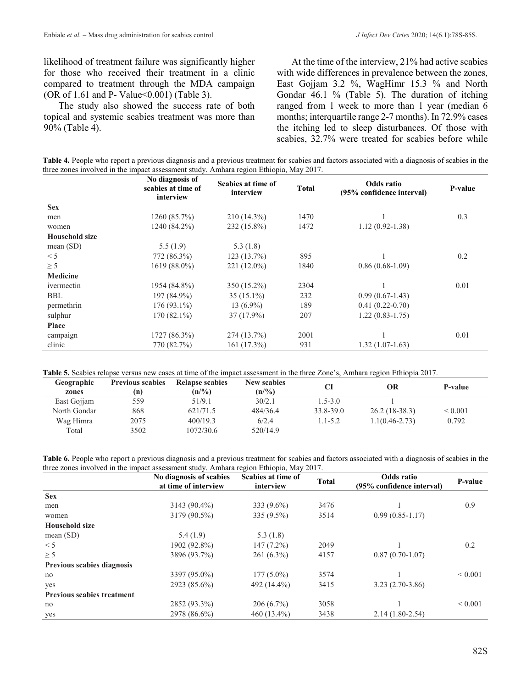likelihood of treatment failure was significantly higher for those who received their treatment in a clinic compared to treatment through the MDA campaign (OR of 1.61 and P- Value<0.001) (Table 3).

The study also showed the success rate of both topical and systemic scabies treatment was more than 90% (Table 4).

At the time of the interview, 21% had active scabies with wide differences in prevalence between the zones, East Gojjam 3.2 %, WagHimr 15.3 % and North Gondar 46.1 % (Table 5). The duration of itching ranged from 1 week to more than 1 year (median 6 months; interquartile range 2-7 months). In 72.9% cases the itching led to sleep disturbances. Of those with scabies, 32.7% were treated for scabies before while

**Table 4.** People who report a previous diagnosis and a previous treatment for scabies and factors associated with a diagnosis of scabies in the three zones involved in the impact assessment study. Amhara region Ethiopia, May 2017.

|                       | No diagnosis of<br>scabies at time of<br>interview | Scabies at time of<br>interview | <b>Total</b> | Odds ratio<br>(95% confidence interval) | <b>P-value</b> |
|-----------------------|----------------------------------------------------|---------------------------------|--------------|-----------------------------------------|----------------|
| <b>Sex</b>            |                                                    |                                 |              |                                         |                |
| men                   | 1260 (85.7%)                                       | $210(14.3\%)$                   | 1470         |                                         | 0.3            |
| women                 | 1240 (84.2%)                                       | 232 (15.8%)                     | 1472         | $1.12(0.92 - 1.38)$                     |                |
| <b>Household size</b> |                                                    |                                 |              |                                         |                |
| mean(SD)              | 5.5(1.9)                                           | 5.3(1.8)                        |              |                                         |                |
| < 5                   | 772 (86.3%)                                        | 123(13.7%)                      | 895          |                                         | 0.2            |
| $\geq$ 5              | 1619 (88.0%)                                       | 221 (12.0%)                     | 1840         | $0.86(0.68-1.09)$                       |                |
| Medicine              |                                                    |                                 |              |                                         |                |
| ivermectin            | 1954 (84.8%)                                       | $350(15.2\%)$                   | 2304         |                                         | 0.01           |
| <b>BBL</b>            | 197 (84.9%)                                        | $35(15.1\%)$                    | 232          | $0.99(0.67-1.43)$                       |                |
| permethrin            | $176(93.1\%)$                                      | 13 $(6.9\%)$                    | 189          | $0.41(0.22-0.70)$                       |                |
| sulphur               | $170(82.1\%)$                                      | 37 (17.9%)                      | 207          | $1.22(0.83 - 1.75)$                     |                |
| Place                 |                                                    |                                 |              |                                         |                |
| campaign              | 1727 (86.3%)                                       | 274 (13.7%)                     | 2001         |                                         | 0.01           |
| clinic                | 770 (82.7%)                                        | 161 (17.3%)                     | 931          | $1.32(1.07-1.63)$                       |                |

**Table 5.** Scabies relapse versus new cases at time of the impact assessment in the three Zone's, Amhara region Ethiopia 2017.

| Geographic<br>zones | <b>Previous scabies</b><br>(n) | Relapse scabies<br>$(n/\%)$ | <b>New scabies</b><br>(n/%) | CI          | OR                 | P-value      |
|---------------------|--------------------------------|-----------------------------|-----------------------------|-------------|--------------------|--------------|
| East Gojjam         | 559                            | 51/9.1                      | 30/2.1                      | $1.5 - 3.0$ |                    |              |
| North Gondar        | 868                            | 621/71.5                    | 484/36.4                    | 33.8-39.0   | $26.2(18-38.3)$    | ${}_{0.001}$ |
| Wag Himra           | 2075                           | 400/19.3                    | 6/2.4                       | $1.1 - 5.2$ | $1.1(0.46 - 2.73)$ | 0.792        |
| Total               | 3502                           | 1072/30.6                   | 520/14.9                    |             |                    |              |
|                     |                                |                             |                             |             |                    |              |

**Table 6.** People who report a previous diagnosis and a previous treatment for scabies and factors associated with a diagnosis of scabies in the three zones involved in the impact assessment study. Amhara region Ethiopia, May 2017.

|                                   | No diagnosis of scabies<br>at time of interview | Scabies at time of<br>interview | <b>Total</b> | Odds ratio<br>(95% confidence interval) | P-value      |
|-----------------------------------|-------------------------------------------------|---------------------------------|--------------|-----------------------------------------|--------------|
| <b>Sex</b>                        |                                                 |                                 |              |                                         |              |
| men                               | $3143(90.4\%)$                                  | $333(9.6\%)$                    | 3476         |                                         | 0.9          |
| women                             | 3179 (90.5%)                                    | $335(9.5\%)$                    | 3514         | $0.99(0.85-1.17)$                       |              |
| <b>Household size</b>             |                                                 |                                 |              |                                         |              |
| mean $(SD)$                       | 5.4(1.9)                                        | 5.3(1.8)                        |              |                                         |              |
| < 5                               | 1902 (92.8%)                                    | $147(7.2\%)$                    | 2049         |                                         | 0.2          |
| $\geq$ 5                          | 3896 (93.7%)                                    | $261(6.3\%)$                    | 4157         | $0.87(0.70-1.07)$                       |              |
| <b>Previous scabies diagnosis</b> |                                                 |                                 |              |                                         |              |
| no                                | 3397 (95.0%)                                    | $177(5.0\%)$                    | 3574         |                                         | ${}_{0.001}$ |
| yes                               | 2923 (85.6%)                                    | 492 (14.4%)                     | 3415         | $3.23(2.70-3.86)$                       |              |
| <b>Previous scabies treatment</b> |                                                 |                                 |              |                                         |              |
| no                                | 2852 (93.3%)                                    | $206(6.7\%)$                    | 3058         |                                         | ${}_{0.001}$ |
| yes                               | 2978 (86.6%)                                    | 460 (13.4%)                     | 3438         | $2.14(1.80-2.54)$                       |              |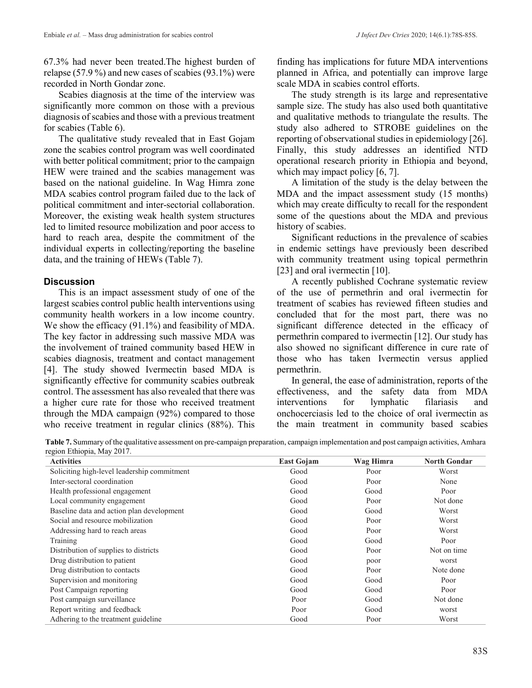67.3% had never been treated.The highest burden of relapse (57.9 %) and new cases of scabies (93.1%) were recorded in North Gondar zone.

Scabies diagnosis at the time of the interview was significantly more common on those with a previous diagnosis of scabies and those with a previous treatment for scabies (Table 6).

The qualitative study revealed that in East Gojam zone the scabies control program was well coordinated with better political commitment; prior to the campaign HEW were trained and the scabies management was based on the national guideline. In Wag Himra zone MDA scabies control program failed due to the lack of political commitment and inter-sectorial collaboration. Moreover, the existing weak health system structures led to limited resource mobilization and poor access to hard to reach area, despite the commitment of the individual experts in collecting/reporting the baseline data, and the training of HEWs (Table 7).

### **Discussion**

This is an impact assessment study of one of the largest scabies control public health interventions using community health workers in a low income country. We show the efficacy (91.1%) and feasibility of MDA. The key factor in addressing such massive MDA was the involvement of trained community based HEW in scabies diagnosis, treatment and contact management [4]. The study showed Ivermectin based MDA is significantly effective for community scabies outbreak control. The assessment has also revealed that there was a higher cure rate for those who received treatment through the MDA campaign (92%) compared to those who receive treatment in regular clinics (88%). This

finding has implications for future MDA interventions planned in Africa, and potentially can improve large scale MDA in scabies control efforts.

The study strength is its large and representative sample size. The study has also used both quantitative and qualitative methods to triangulate the results. The study also adhered to STROBE guidelines on the reporting of observational studies in epidemiology [26]. Finally, this study addresses an identified NTD operational research priority in Ethiopia and beyond, which may impact policy [6, 7].

A limitation of the study is the delay between the MDA and the impact assessment study (15 months) which may create difficulty to recall for the respondent some of the questions about the MDA and previous history of scabies.

Significant reductions in the prevalence of scabies in endemic settings have previously been described with community treatment using topical permethrin [23] and oral ivermectin [10].

A recently published Cochrane systematic review of the use of permethrin and oral ivermectin for treatment of scabies has reviewed fifteen studies and concluded that for the most part, there was no significant difference detected in the efficacy of permethrin compared to ivermectin [12]. Our study has also showed no significant difference in cure rate of those who has taken Ivermectin versus applied permethrin.

In general, the ease of administration, reports of the effectiveness, and the safety data from MDA interventions for lymphatic filariasis and onchocerciasis led to the choice of oral ivermectin as the main treatment in community based scabies

**Table 7.** Summary of the qualitative assessment on pre-campaign preparation, campaign implementation and post campaign activities, Amhara region Ethiopia, May 2017.

| <b>Activities</b>                           | <b>East Gojam</b> | Wag Himra | <b>North Gondar</b> |
|---------------------------------------------|-------------------|-----------|---------------------|
| Soliciting high-level leadership commitment | Good              | Poor      | Worst               |
| Inter-sectoral coordination                 | Good              | Poor      | None                |
| Health professional engagement              | Good              | Good      | Poor                |
| Local community engagement                  | Good              | Poor      | Not done            |
| Baseline data and action plan development   | Good              | Good      | Worst               |
| Social and resource mobilization            | Good              | Poor      | Worst               |
| Addressing hard to reach areas              | Good              | Poor      | Worst               |
| Training                                    | Good              | Good      | Poor                |
| Distribution of supplies to districts       | Good              | Poor      | Not on time         |
| Drug distribution to patient                | Good              | poor      | worst               |
| Drug distribution to contacts               | Good              | Poor      | Note done           |
| Supervision and monitoring                  | Good              | Good      | Poor                |
| Post Campaign reporting                     | Good              | Good      | Poor                |
| Post campaign surveillance                  | Poor              | Good      | Not done            |
| Report writing and feedback                 | Poor              | Good      | worst               |
| Adhering to the treatment guideline.        | Good              | Poor      | Worst               |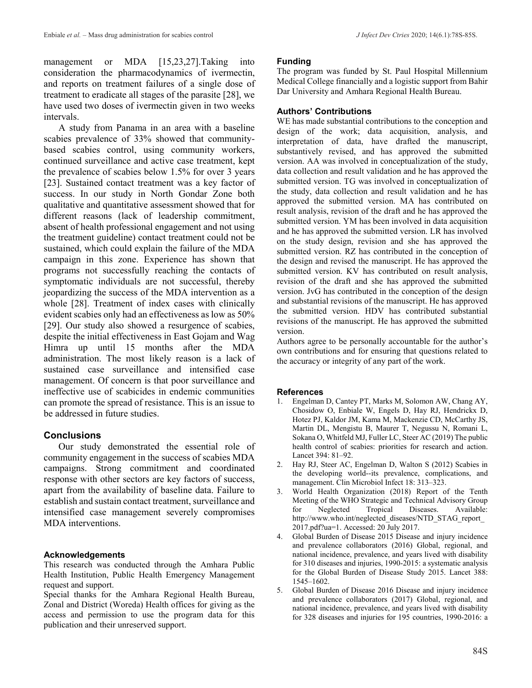management or MDA [15,23,27]. Taking into consideration the pharmacodynamics of ivermectin, and reports on treatment failures of a single dose of treatment to eradicate all stages of the parasite [28], we have used two doses of ivermectin given in two weeks intervals.

A study from Panama in an area with a baseline scabies prevalence of 33% showed that communitybased scabies control, using community workers, continued surveillance and active case treatment, kept the prevalence of scabies below 1.5% for over 3 years [23]. Sustained contact treatment was a key factor of success. In our study in North Gondar Zone both qualitative and quantitative assessment showed that for different reasons (lack of leadership commitment, absent of health professional engagement and not using the treatment guideline) contact treatment could not be sustained, which could explain the failure of the MDA campaign in this zone. Experience has shown that programs not successfully reaching the contacts of symptomatic individuals are not successful, thereby jeopardizing the success of the MDA intervention as a whole [28]. Treatment of index cases with clinically evident scabies only had an effectiveness as low as 50% [29]. Our study also showed a resurgence of scabies, despite the initial effectiveness in East Gojam and Wag Himra up until 15 months after the MDA administration. The most likely reason is a lack of sustained case surveillance and intensified case management. Of concern is that poor surveillance and ineffective use of scabicides in endemic communities can promote the spread of resistance. This is an issue to be addressed in future studies.

# **Conclusions**

Our study demonstrated the essential role of community engagement in the success of scabies MDA campaigns. Strong commitment and coordinated response with other sectors are key factors of success, apart from the availability of baseline data. Failure to establish and sustain contact treatment, surveillance and intensified case management severely compromises MDA interventions.

# **Acknowledgements**

This research was conducted through the Amhara Public Health Institution, Public Health Emergency Management request and support.

Special thanks for the Amhara Regional Health Bureau, Zonal and District (Woreda) Health offices for giving as the access and permission to use the program data for this publication and their unreserved support.

### **Funding**

The program was funded by St. Paul Hospital Millennium Medical College financially and a logistic support from Bahir Dar University and Amhara Regional Health Bureau.

# **Authors' Contributions**

WE has made substantial contributions to the conception and design of the work; data acquisition, analysis, and interpretation of data, have drafted the manuscript, substantively revised, and has approved the submitted version. AA was involved in conceptualization of the study, data collection and result validation and he has approved the submitted version. TG was involved in conceptualization of the study, data collection and result validation and he has approved the submitted version. MA has contributed on result analysis, revision of the draft and he has approved the submitted version. YM has been involved in data acquisition and he has approved the submitted version. LR has involved on the study design, revision and she has approved the submitted version. RZ has contributed in the conception of the design and revised the manuscript. He has approved the submitted version. KV has contributed on result analysis, revision of the draft and she has approved the submitted version. JvG has contributed in the conception of the design and substantial revisions of the manuscript. He has approved the submitted version. HDV has contributed substantial revisions of the manuscript. He has approved the submitted version.

Authors agree to be personally accountable for the author's own contributions and for ensuring that questions related to the accuracy or integrity of any part of the work.

# **References**

- 1. Engelman D, Cantey PT, Marks M, Solomon AW, Chang AY, Chosidow O, Enbiale W, Engels D, Hay RJ, Hendrickx D, Hotez PJ, Kaldor JM, Kama M, Mackenzie CD, McCarthy JS, Martin DL, Mengistu B, Maurer T, Negussu N, Romani L, Sokana O, Whitfeld MJ, Fuller LC, Steer AC (2019) The public health control of scabies: priorities for research and action. Lancet 394: 81–92.
- 2. Hay RJ, Steer AC, Engelman D, Walton S (2012) Scabies in the developing world--its prevalence, complications, and management. Clin Microbiol Infect 18: 313–323.
- 3. World Health Organization (2018) Report of the Tenth Meeting of the WHO Strategic and Technical Advisory Group for Neglected Tropical Diseases. Available: http://www.who.int/neglected\_diseases/NTD\_STAG\_report 2017.pdf?ua=1. Accessed: 20 July 2017.
- 4. Global Burden of Disease 2015 Disease and injury incidence and prevalence collaborators (2016) Global, regional, and national incidence, prevalence, and years lived with disability for 310 diseases and injuries, 1990-2015: a systematic analysis for the Global Burden of Disease Study 2015. Lancet 388: 1545–1602.
- 5. Global Burden of Disease 2016 Disease and injury incidence and prevalence collaborators (2017) Global, regional, and national incidence, prevalence, and years lived with disability for 328 diseases and injuries for 195 countries, 1990-2016: a